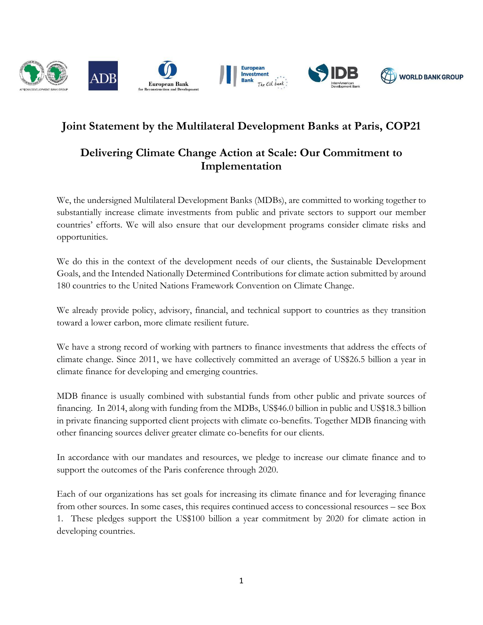

## **Joint Statement by the Multilateral Development Banks at Paris, COP21**

## **Delivering Climate Change Action at Scale: Our Commitment to Implementation**

We, the undersigned Multilateral Development Banks (MDBs), are committed to working together to substantially increase climate investments from public and private sectors to support our member countries' efforts. We will also ensure that our development programs consider climate risks and opportunities.

We do this in the context of the development needs of our clients, the Sustainable Development Goals, and the Intended Nationally Determined Contributions for climate action submitted by around 180 countries to the United Nations Framework Convention on Climate Change.

We already provide policy, advisory, financial, and technical support to countries as they transition toward a lower carbon, more climate resilient future.

We have a strong record of working with partners to finance investments that address the effects of climate change. Since 2011, we have collectively committed an average of US\$26.5 billion a year in climate finance for developing and emerging countries.

MDB finance is usually combined with substantial funds from other public and private sources of financing. In 2014, along with funding from the MDBs, US\$46.0 billion in public and US\$18.3 billion in private financing supported client projects with climate co-benefits. Together MDB financing with other financing sources deliver greater climate co-benefits for our clients.

In accordance with our mandates and resources, we pledge to increase our climate finance and to support the outcomes of the Paris conference through 2020.

Each of our organizations has set goals for increasing its climate finance and for leveraging finance from other sources. In some cases, this requires continued access to concessional resources – see Box 1. These pledges support the US\$100 billion a year commitment by 2020 for climate action in developing countries.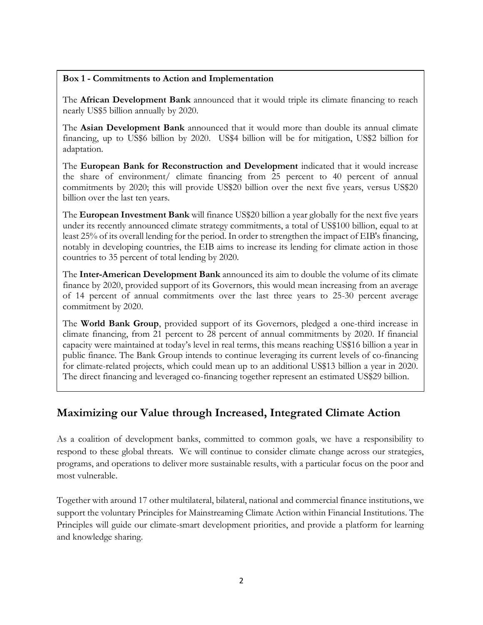## **Box 1 - Commitments to Action and Implementation**

The **African Development Bank** announced that it would triple its climate financing to reach nearly US\$5 billion annually by 2020.

The **Asian Development Bank** announced that it would more than double its annual climate financing, up to US\$6 billion by 2020. US\$4 billion will be for mitigation, US\$2 billion for adaptation.

The **European Bank for Reconstruction and Development** indicated that it would increase the share of environment/ climate financing from 25 percent to 40 percent of annual commitments by 2020; this will provide US\$20 billion over the next five years, versus US\$20 billion over the last ten years.

The **European Investment Bank** will finance US\$20 billion a year globally for the next five years under its recently announced climate strategy commitments, a total of US\$100 billion, equal to at least 25% of its overall lending for the period. In order to strengthen the impact of EIB's financing, notably in developing countries, the EIB aims to increase its lending for climate action in those countries to 35 percent of total lending by 2020.

The **Inter-American Development Bank** announced its aim to double the volume of its climate finance by 2020, provided support of its Governors, this would mean increasing from an average of 14 percent of annual commitments over the last three years to 25-30 percent average commitment by 2020.

The **World Bank Group**, provided support of its Governors, pledged a one-third increase in climate financing, from 21 percent to 28 percent of annual commitments by 2020. If financial capacity were maintained at today's level in real terms, this means reaching US\$16 billion a year in public finance. The Bank Group intends to continue leveraging its current levels of co-financing for climate-related projects, which could mean up to an additional US\$13 billion a year in 2020. The direct financing and leveraged co-financing together represent an estimated US\$29 billion.

## **Maximizing our Value through Increased, Integrated Climate Action**

As a coalition of development banks, committed to common goals, we have a responsibility to respond to these global threats. We will continue to consider climate change across our strategies, programs, and operations to deliver more sustainable results, with a particular focus on the poor and most vulnerable.

Together with around 17 other multilateral, bilateral, national and commercial finance institutions, we support the voluntary Principles for Mainstreaming Climate Action within Financial Institutions. The Principles will guide our climate-smart development priorities, and provide a platform for learning and knowledge sharing.